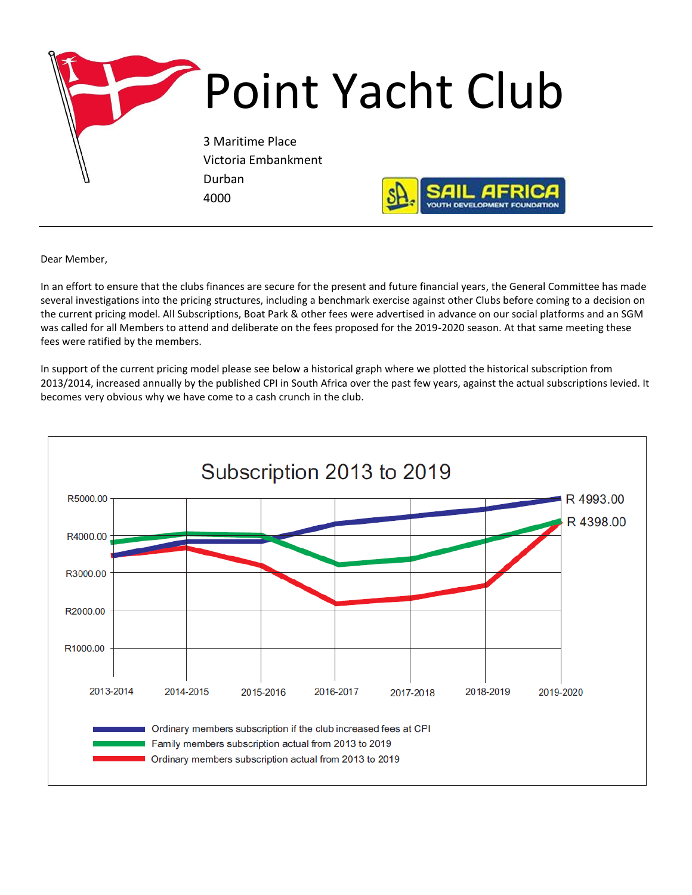

Dear Member,

In an effort to ensure that the clubs finances are secure for the present and future financial years, the General Committee has made several investigations into the pricing structures, including a benchmark exercise against other Clubs before coming to a decision on the current pricing model. All Subscriptions, Boat Park & other fees were advertised in advance on our social platforms and an SGM was called for all Members to attend and deliberate on the fees proposed for the 2019-2020 season. At that same meeting these fees were ratified by the members.

In support of the current pricing model please see below a historical graph where we plotted the historical subscription from 2013/2014, increased annually by the published CPI in South Africa over the past few years, against the actual subscriptions levied. It becomes very obvious why we have come to a cash crunch in the club.